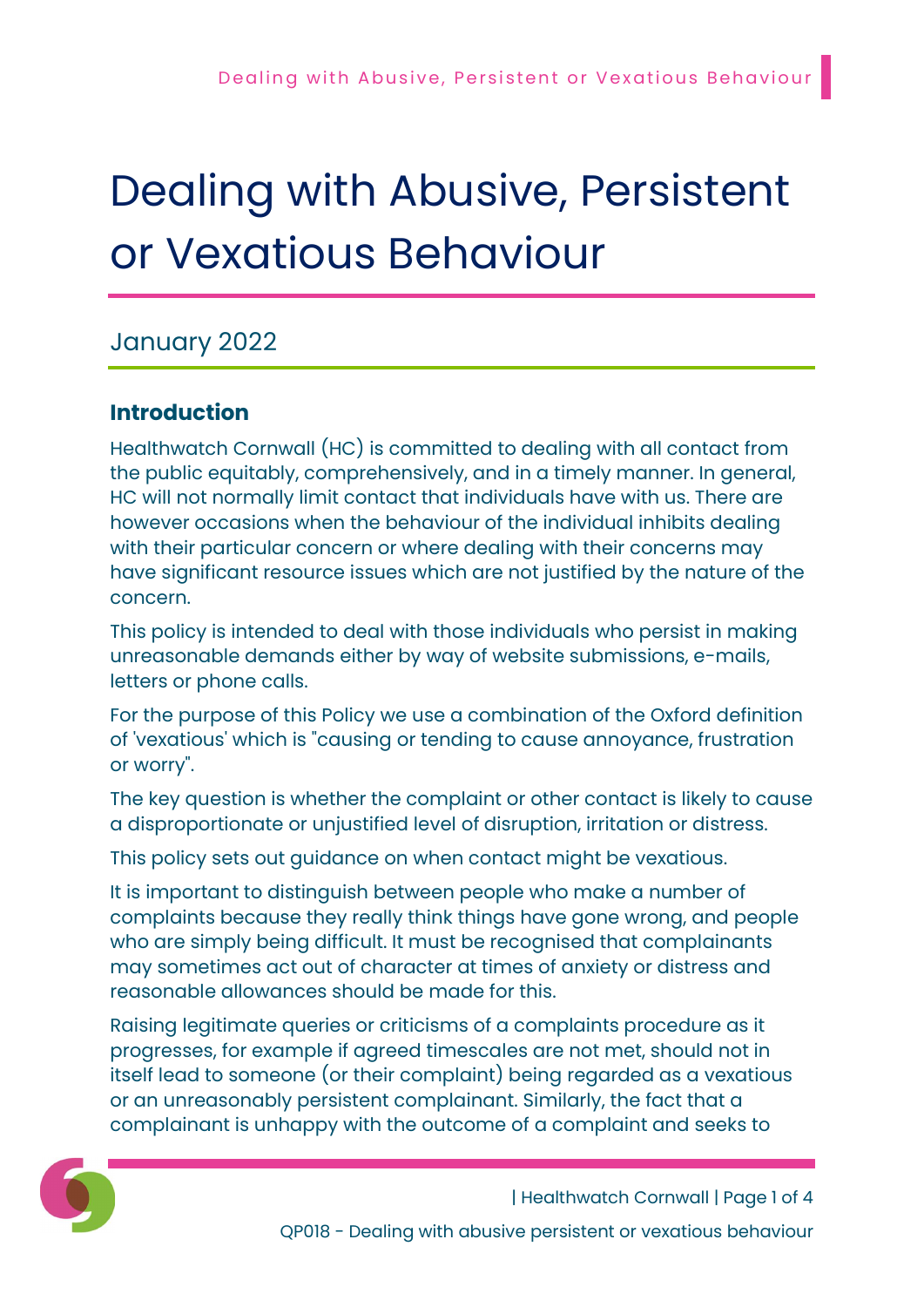# Dealing with Abusive, Persistent or Vexatious Behaviour

## January 2022

## Introduction

Healthwatch Cornwall (HC) is committed to dealing with all contact from the public equitably, comprehensively, and in a timely manner. In general, HC will not normally limit contact that individuals have with us. There are however occasions when the behaviour of the individual inhibits dealing with their particular concern or where dealing with their concerns may have significant resource issues which are not justified by the nature of the concern.

This policy is intended to deal with those individuals who persist in making unreasonable demands either by way of website submissions, e-mails, letters or phone calls.

For the purpose of this Policy we use a combination of the Oxford definition of 'vexatious' which is "causing or tending to cause annoyance, frustration or worry".

The key question is whether the complaint or other contact is likely to cause a disproportionate or unjustified level of disruption, irritation or distress.

This policy sets out guidance on when contact might be vexatious.

It is important to distinguish between people who make a number of complaints because they really think things have gone wrong, and people who are simply being difficult. It must be recognised that complainants may sometimes act out of character at times of anxiety or distress and reasonable allowances should be made for this.

Raising legitimate queries or criticisms of a complaints procedure as it progresses, for example if agreed timescales are not met, should not in itself lead to someone (or their complaint) being regarded as a vexatious or an unreasonably persistent complainant. Similarly, the fact that a complainant is unhappy with the outcome of a complaint and seeks to

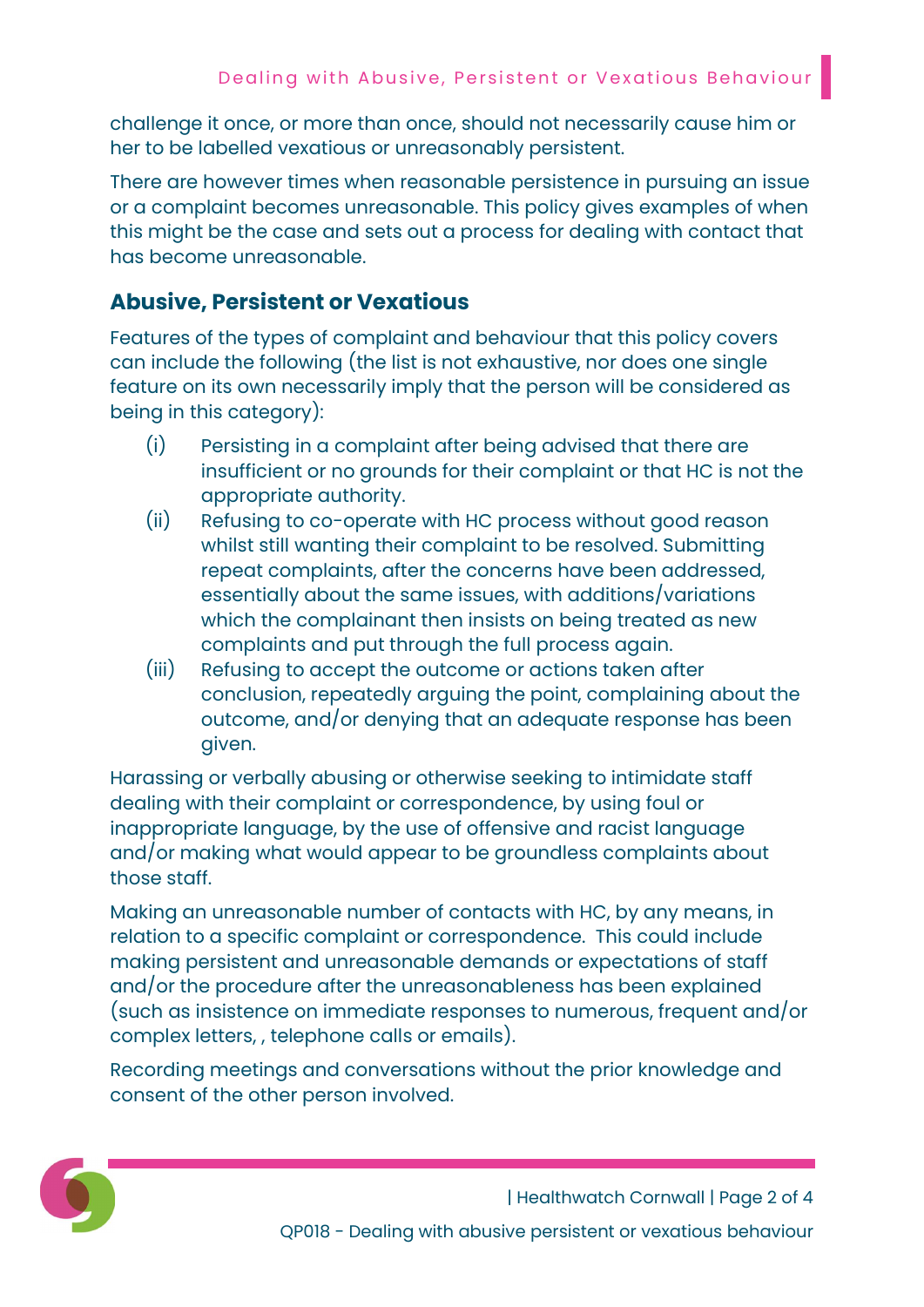challenge it once, or more than once, should not necessarily cause him or her to be labelled vexatious or unreasonably persistent.

There are however times when reasonable persistence in pursuing an issue or a complaint becomes unreasonable. This policy gives examples of when this might be the case and sets out a process for dealing with contact that has become unreasonable.

#### Abusive, Persistent or Vexatious

Features of the types of complaint and behaviour that this policy covers can include the following (the list is not exhaustive, nor does one single feature on its own necessarily imply that the person will be considered as being in this category):

- (i) Persisting in a complaint after being advised that there are insufficient or no grounds for their complaint or that HC is not the appropriate authority.
- (ii) Refusing to co-operate with HC process without good reason whilst still wanting their complaint to be resolved. Submitting repeat complaints, after the concerns have been addressed, essentially about the same issues, with additions/variations which the complainant then insists on being treated as new complaints and put through the full process again.
- (iii) Refusing to accept the outcome or actions taken after conclusion, repeatedly arguing the point, complaining about the outcome, and/or denying that an adequate response has been given.

Harassing or verbally abusing or otherwise seeking to intimidate staff dealing with their complaint or correspondence, by using foul or inappropriate language, by the use of offensive and racist language and/or making what would appear to be groundless complaints about those staff.

Making an unreasonable number of contacts with HC, by any means, in relation to a specific complaint or correspondence. This could include making persistent and unreasonable demands or expectations of staff and/or the procedure after the unreasonableness has been explained (such as insistence on immediate responses to numerous, frequent and/or complex letters, , telephone calls or emails).

Recording meetings and conversations without the prior knowledge and consent of the other person involved.



| Healthwatch Cornwall | Page 2 of 4 QP018 - Dealing with abusive persistent or vexatious behaviour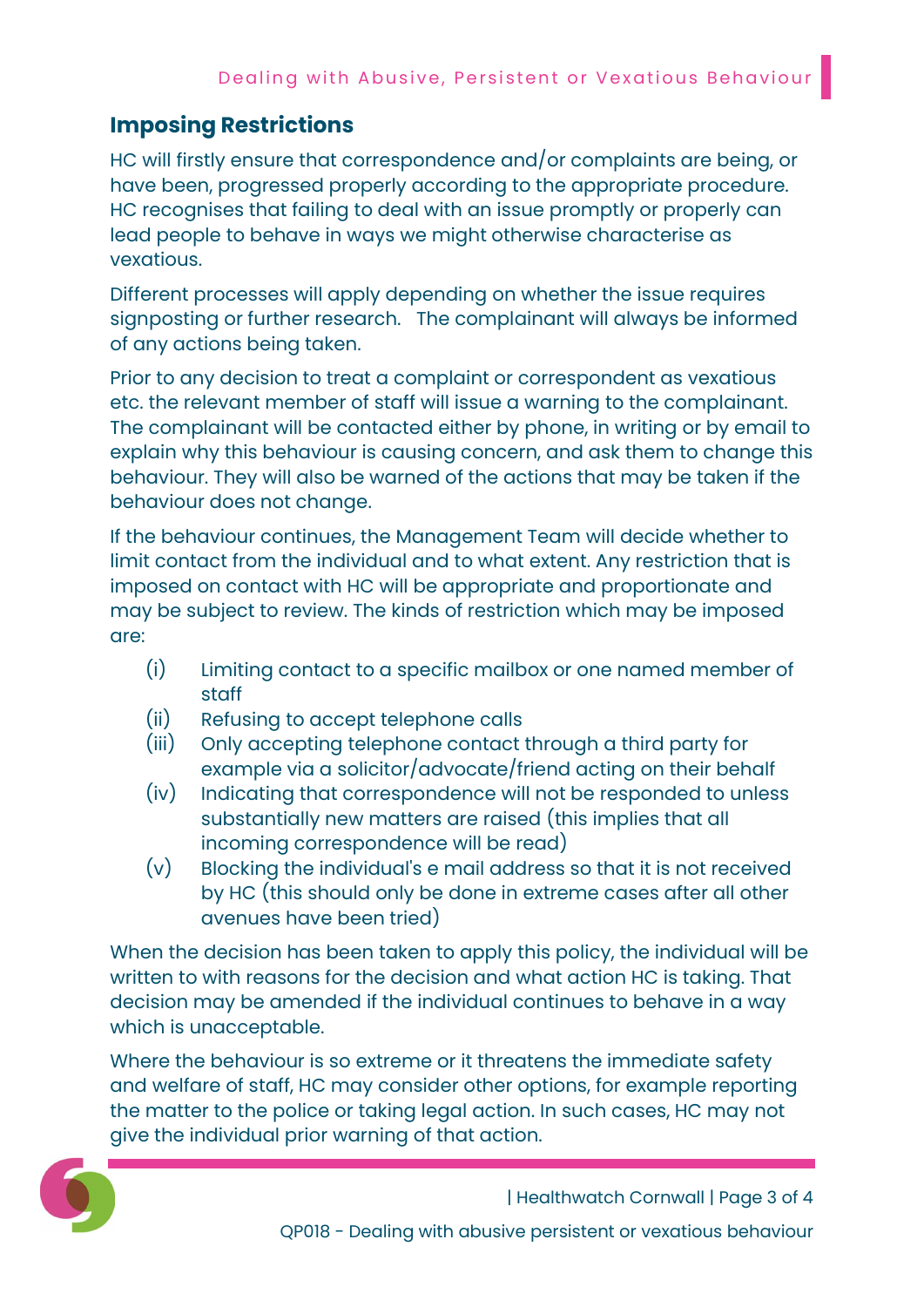## Imposing Restrictions

HC will firstly ensure that correspondence and/or complaints are being, or have been, progressed properly according to the appropriate procedure. HC recognises that failing to deal with an issue promptly or properly can lead people to behave in ways we might otherwise characterise as vexatious.

Different processes will apply depending on whether the issue requires signposting or further research. The complainant will always be informed of any actions being taken.

Prior to any decision to treat a complaint or correspondent as vexatious etc. the relevant member of staff will issue a warning to the complainant. The complainant will be contacted either by phone, in writing or by email to explain why this behaviour is causing concern, and ask them to change this behaviour. They will also be warned of the actions that may be taken if the behaviour does not change.

If the behaviour continues, the Management Team will decide whether to limit contact from the individual and to what extent. Any restriction that is imposed on contact with HC will be appropriate and proportionate and may be subject to review. The kinds of restriction which may be imposed are:

- (i) Limiting contact to a specific mailbox or one named member of staff
- (ii) Refusing to accept telephone calls
- (iii) Only accepting telephone contact through a third party for example via a solicitor/advocate/friend acting on their behalf
- (iv) Indicating that correspondence will not be responded to unless substantially new matters are raised (this implies that all incoming correspondence will be read)
- (v) Blocking the individual's e mail address so that it is not received by HC (this should only be done in extreme cases after all other avenues have been tried)

When the decision has been taken to apply this policy, the individual will be written to with reasons for the decision and what action HC is taking. That decision may be amended if the individual continues to behave in a way which is unacceptable.

Where the behaviour is so extreme or it threatens the immediate safety and welfare of staff, HC may consider other options, for example reporting the matter to the police or taking legal action. In such cases, HC may not give the individual prior warning of that action.